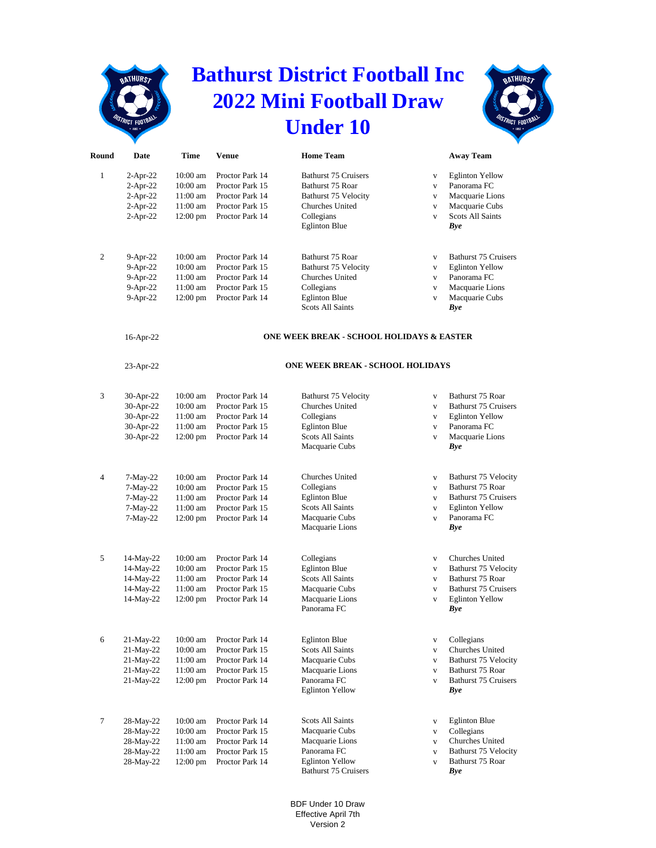## **Bathurst District Football Inc 2022 Mini Football Draw Under 10**

**RATHURSZ** 



| Round          | Date        | Time               | <b>Venue</b>    | <b>Home Team</b>                                |              | <b>Away Team</b>            |
|----------------|-------------|--------------------|-----------------|-------------------------------------------------|--------------|-----------------------------|
| $\mathbf{1}$   | $2$ -Apr-22 | $10:00$ am         | Proctor Park 14 | <b>Bathurst 75 Cruisers</b>                     | $\mathbf V$  | <b>Eglinton Yellow</b>      |
|                | $2-Apr-22$  | $10:00$ am         | Proctor Park 15 | Bathurst 75 Roar                                | $\mathbf{V}$ | Panorama FC                 |
|                | $2-Apr-22$  | 11:00 am           | Proctor Park 14 | Bathurst 75 Velocity                            | $\mathbf{V}$ | Macquarie Lions             |
|                | $2-Apr-22$  | 11:00 am           | Proctor Park 15 | Churches United                                 | $\mathbf{V}$ | Macquarie Cubs              |
|                | $2-Apr-22$  | $12:00 \text{ pm}$ | Proctor Park 14 | Collegians                                      | $\mathbf{V}$ | <b>Scots All Saints</b>     |
|                |             |                    |                 | <b>Eglinton Blue</b>                            |              | Bye                         |
|                |             |                    |                 |                                                 |              |                             |
| 2              | $9-Apr-22$  | $10:00$ am         | Proctor Park 14 | Bathurst 75 Roar                                | $\mathbf{V}$ | <b>Bathurst 75 Cruisers</b> |
|                | 9-Apr-22    | $10:00$ am         | Proctor Park 15 | Bathurst 75 Velocity                            | $\mathbf{V}$ | <b>Eglinton Yellow</b>      |
|                | 9-Apr-22    | $11:00$ am         | Proctor Park 14 | Churches United                                 | $\mathbf{V}$ | Panorama FC                 |
|                | $9-Apr-22$  | $11:00$ am         | Proctor Park 15 | Collegians                                      | $\mathbf{V}$ | Macquarie Lions             |
|                | 9-Apr-22    | $12:00 \text{ pm}$ | Proctor Park 14 | <b>Eglinton Blue</b><br><b>Scots All Saints</b> | $\mathbf{V}$ | Macquarie Cubs<br>Bye       |
|                | 16-Apr-22   |                    |                 | ONE WEEK BREAK - SCHOOL HOLIDAYS & EASTER       |              |                             |
|                | 23-Apr-22   |                    |                 | <b>ONE WEEK BREAK - SCHOOL HOLIDAYS</b>         |              |                             |
|                |             |                    |                 |                                                 |              |                             |
| 3              | 30-Apr-22   | $10:00$ am         | Proctor Park 14 | Bathurst 75 Velocity                            | $\mathbf{V}$ | Bathurst 75 Roar            |
|                | 30-Apr-22   | $10:00$ am         | Proctor Park 15 | Churches United                                 | $\mathbf{V}$ | <b>Bathurst 75 Cruisers</b> |
|                | 30-Apr-22   | $11:00$ am         | Proctor Park 14 | Collegians                                      | V            | <b>Eglinton Yellow</b>      |
|                | 30-Apr-22   | 11:00 am           | Proctor Park 15 | <b>Eglinton Blue</b>                            | $\mathbf{V}$ | Panorama FC                 |
|                | 30-Apr-22   | $12:00 \text{ pm}$ | Proctor Park 14 | <b>Scots All Saints</b><br>Macquarie Cubs       | $\mathbf{V}$ | Macquarie Lions<br>Bye      |
|                |             |                    |                 |                                                 |              |                             |
| $\overline{4}$ | $7-May-22$  | $10:00$ am         | Proctor Park 14 | Churches United                                 | $\mathbf V$  | Bathurst 75 Velocity        |
|                | 7-May-22    | $10:00$ am         | Proctor Park 15 | Collegians                                      | $\mathbf{V}$ | Bathurst 75 Roar            |
|                | $7-May-22$  | 11:00 am           | Proctor Park 14 | <b>Eglinton Blue</b>                            | $\mathbf{V}$ | <b>Bathurst 75 Cruisers</b> |
|                | $7-May-22$  | 11:00 am           | Proctor Park 15 | <b>Scots All Saints</b>                         | $\mathbf{V}$ | <b>Eglinton Yellow</b>      |
|                | $7-May-22$  | $12:00 \text{ pm}$ | Proctor Park 14 | Macquarie Cubs                                  | $\mathbf{V}$ | Panorama FC                 |
|                |             |                    |                 | Macquarie Lions                                 |              | Bye                         |
| 5              | 14-May-22   | $10:00$ am         | Proctor Park 14 | Collegians                                      | $\mathbf{V}$ | Churches United             |
|                | 14-May-22   | $10:00$ am         | Proctor Park 15 | <b>Eglinton Blue</b>                            | $\mathbf{V}$ | <b>Bathurst 75 Velocity</b> |
|                | 14-May-22   | 11:00 am           | Proctor Park 14 | <b>Scots All Saints</b>                         | $\mathbf{V}$ | Bathurst 75 Roar            |
|                | 14-May-22   | 11:00 am           | Proctor Park 15 | Macquarie Cubs                                  | $\mathbf{V}$ | <b>Bathurst 75 Cruisers</b> |
|                | 14-May-22   | $12:00 \text{ pm}$ | Proctor Park 14 | Macquarie Lions                                 | $\mathbf{V}$ | <b>Eglinton Yellow</b>      |
|                |             |                    |                 | Panorama FC                                     |              | Bye                         |
| 6              | 21-May-22   | 10:00 am           | Proctor Park 14 | <b>Eglinton Blue</b>                            | V            | Collegians                  |
|                | 21-May-22   | $10:00$ am         | Proctor Park 15 | <b>Scots All Saints</b>                         | $\mathbf{V}$ | Churches United             |
|                | 21-May-22   | 11:00 am           | Proctor Park 14 | Macquarie Cubs                                  | $\mathbf V$  | <b>Bathurst 75 Velocity</b> |
|                | 21-May-22   | 11:00 am           | Proctor Park 15 | Macquarie Lions                                 | $\mathbf{V}$ | Bathurst 75 Roar            |
|                | 21-May-22   | $12:00 \text{ pm}$ | Proctor Park 14 | Panorama FC                                     | V            | <b>Bathurst 75 Cruisers</b> |
|                |             |                    |                 | <b>Eglinton Yellow</b>                          |              | Bye                         |
| 7              | 28-May-22   | $10:00$ am         | Proctor Park 14 | <b>Scots All Saints</b>                         | $\mathbf V$  | <b>Eglinton Blue</b>        |
|                | 28-May-22   | 10:00 am           | Proctor Park 15 | Macquarie Cubs                                  | V            | Collegians                  |
|                | 28-May-22   | $11:00$ am         | Proctor Park 14 | Macquarie Lions                                 | $\mathbf V$  | <b>Churches United</b>      |
|                | 28-May-22   | 11:00 am           | Proctor Park 15 | Panorama FC                                     | $\mathbf{V}$ | <b>Bathurst 75 Velocity</b> |
|                | 28-May-22   | $12:00 \text{ pm}$ | Proctor Park 14 | <b>Eglinton Yellow</b>                          | V            | Bathurst 75 Roar            |
|                |             |                    |                 | <b>Bathurst 75 Cruisers</b>                     |              | Bye                         |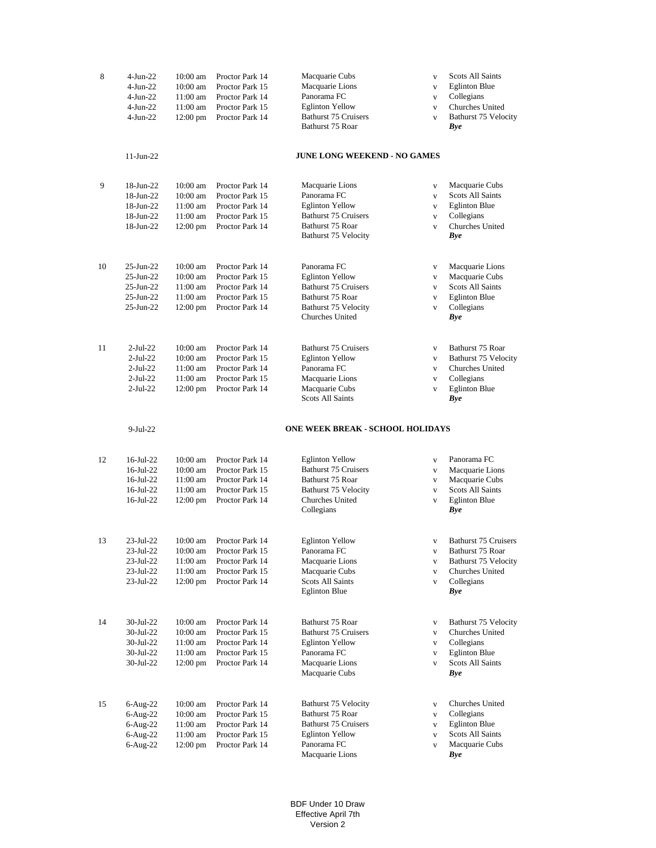| 8  | $4-Jun-22$<br>$4$ -Jun-22<br>$4$ -Jun-22<br>$4$ -Jun-22<br>$4-Jun-22$ | $10:00$ am<br>$10:00$ am<br>11:00 am<br>11:00 am<br>$12:00 \text{ pm}$   | Proctor Park 14<br>Proctor Park 15<br>Proctor Park 14<br>Proctor Park 15<br>Proctor Park 14 | Macquarie Cubs<br>Macquarie Lions<br>Panorama FC<br><b>Eglinton Yellow</b><br><b>Bathurst 75 Cruisers</b><br>Bathurst 75 Roar       | $\mathbf{V}$<br>$\mathbf{V}$<br>$\mathbf{V}$<br>$\mathbf{V}$<br>$\mathbf{V}$ | <b>Scots All Saints</b><br><b>Eglinton Blue</b><br>Collegians<br>Churches United<br><b>Bathurst 75 Velocity</b><br>Bye        |
|----|-----------------------------------------------------------------------|--------------------------------------------------------------------------|---------------------------------------------------------------------------------------------|-------------------------------------------------------------------------------------------------------------------------------------|------------------------------------------------------------------------------|-------------------------------------------------------------------------------------------------------------------------------|
|    | $11$ -Jun-22                                                          |                                                                          |                                                                                             | <b>JUNE LONG WEEKEND - NO GAMES</b>                                                                                                 |                                                                              |                                                                                                                               |
| 9  | 18-Jun-22<br>18-Jun-22<br>18-Jun-22<br>18-Jun-22<br>18-Jun-22         | $10:00$ am<br>$10:00$ am<br>11:00 am<br>$11:00$ am<br>$12:00 \text{ pm}$ | Proctor Park 14<br>Proctor Park 15<br>Proctor Park 14<br>Proctor Park 15<br>Proctor Park 14 | Macquarie Lions<br>Panorama FC<br><b>Eglinton Yellow</b><br><b>Bathurst 75 Cruisers</b><br>Bathurst 75 Roar<br>Bathurst 75 Velocity | $\mathbf{V}$<br>$\mathbf{V}$<br>$\mathbf V$<br>$\mathbf{V}$<br>$\mathbf{V}$  | Macquarie Cubs<br>Scots All Saints<br><b>Eglinton Blue</b><br>Collegians<br>Churches United<br><b>Bye</b>                     |
| 10 | 25-Jun-22<br>25-Jun-22<br>25-Jun-22<br>25-Jun-22<br>25-Jun-22         | $10:00$ am<br>$10:00$ am<br>11:00 am<br>$11:00$ am<br>12:00 pm           | Proctor Park 14<br>Proctor Park 15<br>Proctor Park 14<br>Proctor Park 15<br>Proctor Park 14 | Panorama FC<br><b>Eglinton Yellow</b><br><b>Bathurst 75 Cruisers</b><br>Bathurst 75 Roar<br>Bathurst 75 Velocity<br>Churches United | $\mathbf{V}$<br>$\mathbf V$<br>$\mathbf V$<br>$\mathbf{V}$<br>$\mathbf{V}$   | Macquarie Lions<br>Macquarie Cubs<br><b>Scots All Saints</b><br><b>Eglinton Blue</b><br>Collegians<br><b>Bye</b>              |
| 11 | $2-Jul-22$<br>$2-Jul-22$<br>$2-Jul-22$<br>$2-Jul-22$<br>$2-Jul-22$    | $10:00$ am<br>$10:00$ am<br>$11:00$ am<br>$11:00$ am<br>12:00 pm         | Proctor Park 14<br>Proctor Park 15<br>Proctor Park 14<br>Proctor Park 15<br>Proctor Park 14 | Bathurst 75 Cruisers<br><b>Eglinton Yellow</b><br>Panorama FC<br>Macquarie Lions<br>Macquarie Cubs<br><b>Scots All Saints</b>       | $\mathbf{V}$<br>$\mathbf{V}$<br>$\mathbf V$<br>$\mathbf{V}$<br>$\mathbf{V}$  | Bathurst 75 Roar<br><b>Bathurst 75 Velocity</b><br>Churches United<br>Collegians<br><b>Eglinton Blue</b><br><b>Bye</b>        |
|    | $9-Jul-22$                                                            |                                                                          |                                                                                             | <b>ONE WEEK BREAK - SCHOOL HOLIDAYS</b>                                                                                             |                                                                              |                                                                                                                               |
| 12 | 16-Jul-22<br>16-Jul-22<br>16-Jul-22<br>16-Jul-22<br>16-Jul-22         | 10:00 am<br>$10:00$ am<br>$11:00$ am<br>$11:00$ am<br>12:00 pm           | Proctor Park 14<br>Proctor Park 15<br>Proctor Park 14<br>Proctor Park 15<br>Proctor Park 14 | <b>Eglinton Yellow</b><br><b>Bathurst 75 Cruisers</b><br>Bathurst 75 Roar<br>Bathurst 75 Velocity<br>Churches United<br>Collegians  | $\mathbf V$<br>$\mathbf V$<br>$\mathbf V$<br>$\mathbf{V}$<br>$\mathbf{V}$    | Panorama FC<br>Macquarie Lions<br>Macquarie Cubs<br>Scots All Saints<br><b>Eglinton Blue</b><br><b>Bye</b>                    |
| 13 | 23-Jul-22<br>23-Jul-22<br>23-Jul-22<br>23-Jul-22<br>23-Jul-22         | $10:00$ am<br>$10:00$ am<br>11:00 am<br>11:00 am<br>$12:00 \text{ pm}$   | Proctor Park 14<br>Proctor Park 15<br>Proctor Park 14<br>Proctor Park 15<br>Proctor Park 14 | <b>Eglinton Yellow</b><br>Panorama FC<br>Macquarie Lions<br>Macquarie Cubs<br>Scots All Saints<br><b>Eglinton Blue</b>              | $\mathbf{V}$<br>$\mathbf V$<br>$\mathbf{V}$<br>$\mathbf{V}$<br>$\mathbf{V}$  | <b>Bathurst 75 Cruisers</b><br>Bathurst 75 Roar<br><b>Bathurst 75 Velocity</b><br>Churches United<br>Collegians<br><b>Bye</b> |
| 14 | 30-Jul-22<br>30-Jul-22<br>30-Jul-22<br>30-Jul-22<br>30-Jul-22         | $10:00$ am<br>$10:00$ am<br>11:00 am<br>11:00 am<br>$12:00 \text{ pm}$   | Proctor Park 14<br>Proctor Park 15<br>Proctor Park 14<br>Proctor Park 15<br>Proctor Park 14 | Bathurst 75 Roar<br><b>Bathurst 75 Cruisers</b><br><b>Eglinton Yellow</b><br>Panorama FC<br>Macquarie Lions<br>Macquarie Cubs       | $\mathbf{V}$<br>$\mathbf V$<br>$\mathbf V$<br>$\mathbf V$<br>$\mathbf{V}$    | <b>Bathurst 75 Velocity</b><br>Churches United<br>Collegians<br><b>Eglinton Blue</b><br>Scots All Saints<br>Bye               |
| 15 | 6-Aug-22<br>$6$ -Aug-22<br>$6$ -Aug-22<br>$6-Aug-22$<br>6-Aug-22      | $10:00$ am<br>$10:00$ am<br>11:00 am<br>11:00 am<br>$12:00 \text{ pm}$   | Proctor Park 14<br>Proctor Park 15<br>Proctor Park 14<br>Proctor Park 15<br>Proctor Park 14 | Bathurst 75 Velocity<br>Bathurst 75 Roar<br><b>Bathurst 75 Cruisers</b><br><b>Eglinton Yellow</b><br>Panorama FC<br>Macquarie Lions | V<br>$\mathbf{V}$<br>$\mathbf{V}$<br>V<br>V                                  | Churches United<br>Collegians<br><b>Eglinton Blue</b><br><b>Scots All Saints</b><br>Macquarie Cubs<br><b>Bye</b>              |

BDF Under 10 Draw Effective April 7th Version 2